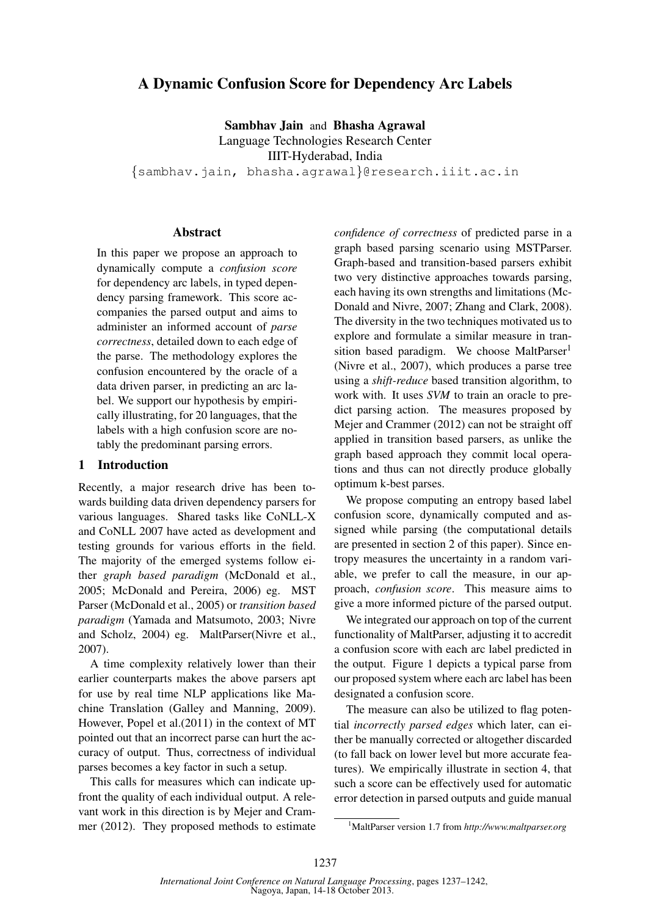# A Dynamic Confusion Score for Dependency Arc Labels

Sambhav Jain and Bhasha Agrawal Language Technologies Research Center IIIT-Hyderabad, India {sambhav.jain, bhasha.agrawal}@research.iiit.ac.in

# Abstract

In this paper we propose an approach to dynamically compute a *confusion score* for dependency arc labels, in typed dependency parsing framework. This score accompanies the parsed output and aims to administer an informed account of *parse correctness*, detailed down to each edge of the parse. The methodology explores the confusion encountered by the oracle of a data driven parser, in predicting an arc label. We support our hypothesis by empirically illustrating, for 20 languages, that the labels with a high confusion score are notably the predominant parsing errors.

## 1 Introduction

Recently, a major research drive has been towards building data driven dependency parsers for various languages. Shared tasks like CoNLL-X and CoNLL 2007 have acted as development and testing grounds for various efforts in the field. The majority of the emerged systems follow either *graph based paradigm* (McDonald et al., 2005; McDonald and Pereira, 2006) eg. MST Parser (McDonald et al., 2005) or *transition based paradigm* (Yamada and Matsumoto, 2003; Nivre and Scholz, 2004) eg. MaltParser(Nivre et al., 2007).

A time complexity relatively lower than their earlier counterparts makes the above parsers apt for use by real time NLP applications like Machine Translation (Galley and Manning, 2009). However, Popel et al.(2011) in the context of MT pointed out that an incorrect parse can hurt the accuracy of output. Thus, correctness of individual parses becomes a key factor in such a setup.

This calls for measures which can indicate upfront the quality of each individual output. A relevant work in this direction is by Mejer and Crammer (2012). They proposed methods to estimate *confidence of correctness* of predicted parse in a graph based parsing scenario using MSTParser. Graph-based and transition-based parsers exhibit two very distinctive approaches towards parsing, each having its own strengths and limitations (Mc-Donald and Nivre, 2007; Zhang and Clark, 2008). The diversity in the two techniques motivated us to explore and formulate a similar measure in transition based paradigm. We choose MaltParser<sup>1</sup> (Nivre et al., 2007), which produces a parse tree using a *shift-reduce* based transition algorithm, to work with. It uses *SVM* to train an oracle to predict parsing action. The measures proposed by Mejer and Crammer (2012) can not be straight off applied in transition based parsers, as unlike the graph based approach they commit local operations and thus can not directly produce globally optimum k-best parses.

We propose computing an entropy based label confusion score, dynamically computed and assigned while parsing (the computational details are presented in section 2 of this paper). Since entropy measures the uncertainty in a random variable, we prefer to call the measure, in our approach, *confusion score*. This measure aims to give a more informed picture of the parsed output.

We integrated our approach on top of the current functionality of MaltParser, adjusting it to accredit a confusion score with each arc label predicted in the output. Figure 1 depicts a typical parse from our proposed system where each arc label has been designated a confusion score.

The measure can also be utilized to flag potential *incorrectly parsed edges* which later, can either be manually corrected or altogether discarded (to fall back on lower level but more accurate features). We empirically illustrate in section 4, that such a score can be effectively used for automatic error detection in parsed outputs and guide manual

<sup>1</sup>MaltParser version 1.7 from *http://www.maltparser.org*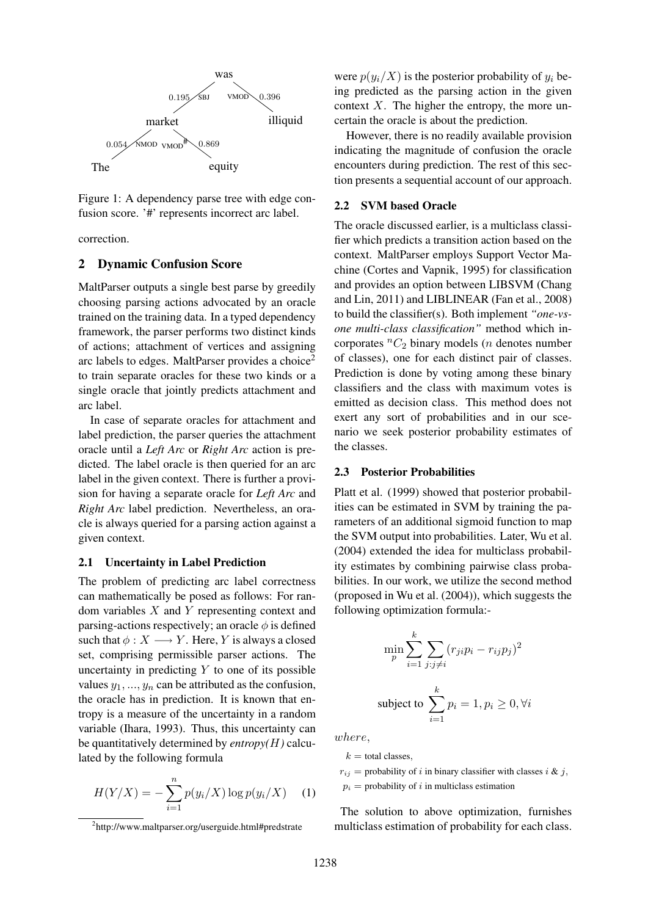

Figure 1: A dependency parse tree with edge confusion score. '#' represents incorrect arc label.

correction.

#### 2 Dynamic Confusion Score

MaltParser outputs a single best parse by greedily choosing parsing actions advocated by an oracle trained on the training data. In a typed dependency framework, the parser performs two distinct kinds of actions; attachment of vertices and assigning arc labels to edges. MaltParser provides a choice<sup>2</sup> to train separate oracles for these two kinds or a single oracle that jointly predicts attachment and arc label.

In case of separate oracles for attachment and label prediction, the parser queries the attachment oracle until a *Left Arc* or *Right Arc* action is predicted. The label oracle is then queried for an arc label in the given context. There is further a provision for having a separate oracle for *Left Arc* and *Right Arc* label prediction. Nevertheless, an oracle is always queried for a parsing action against a given context.

#### 2.1 Uncertainty in Label Prediction

The problem of predicting arc label correctness can mathematically be posed as follows: For random variables X and Y representing context and parsing-actions respectively; an oracle  $\phi$  is defined such that  $\phi: X \longrightarrow Y$ . Here, Y is always a closed set, comprising permissible parser actions. The uncertainty in predicting  $Y$  to one of its possible values  $y_1, ..., y_n$  can be attributed as the confusion, the oracle has in prediction. It is known that entropy is a measure of the uncertainty in a random variable (Ihara, 1993). Thus, this uncertainty can be quantitatively determined by *entropy(*H*)* calculated by the following formula

$$
H(Y/X) = -\sum_{i=1}^{n} p(y_i/X) \log p(y_i/X) \quad (1)
$$

were  $p(y_i/X)$  is the posterior probability of  $y_i$  being predicted as the parsing action in the given context  $X$ . The higher the entropy, the more uncertain the oracle is about the prediction.

However, there is no readily available provision indicating the magnitude of confusion the oracle encounters during prediction. The rest of this section presents a sequential account of our approach.

#### 2.2 SVM based Oracle

The oracle discussed earlier, is a multiclass classifier which predicts a transition action based on the context. MaltParser employs Support Vector Machine (Cortes and Vapnik, 1995) for classification and provides an option between LIBSVM (Chang and Lin, 2011) and LIBLINEAR (Fan et al., 2008) to build the classifier(s). Both implement *"one-vsone multi-class classification"* method which incorporates  ${}^nC_2$  binary models (*n* denotes number of classes), one for each distinct pair of classes. Prediction is done by voting among these binary classifiers and the class with maximum votes is emitted as decision class. This method does not exert any sort of probabilities and in our scenario we seek posterior probability estimates of the classes.

#### 2.3 Posterior Probabilities

Platt et al. (1999) showed that posterior probabilities can be estimated in SVM by training the parameters of an additional sigmoid function to map the SVM output into probabilities. Later, Wu et al. (2004) extended the idea for multiclass probability estimates by combining pairwise class probabilities. In our work, we utilize the second method (proposed in Wu et al. (2004)), which suggests the following optimization formula:-

$$
\min_{p} \sum_{i=1}^{k} \sum_{j:j \neq i} (r_{ji} p_i - r_{ij} p_j)^2
$$
  
subject to 
$$
\sum_{i=1}^{k} p_i = 1, p_i \ge 0, \forall i
$$

where,

 $k =$  total classes,

 $r_{ij}$  = probability of i in binary classifier with classes i & j,  $p_i$  = probability of i in multiclass estimation

The solution to above optimization, furnishes multiclass estimation of probability for each class.

<sup>2</sup> http://www.maltparser.org/userguide.html#predstrate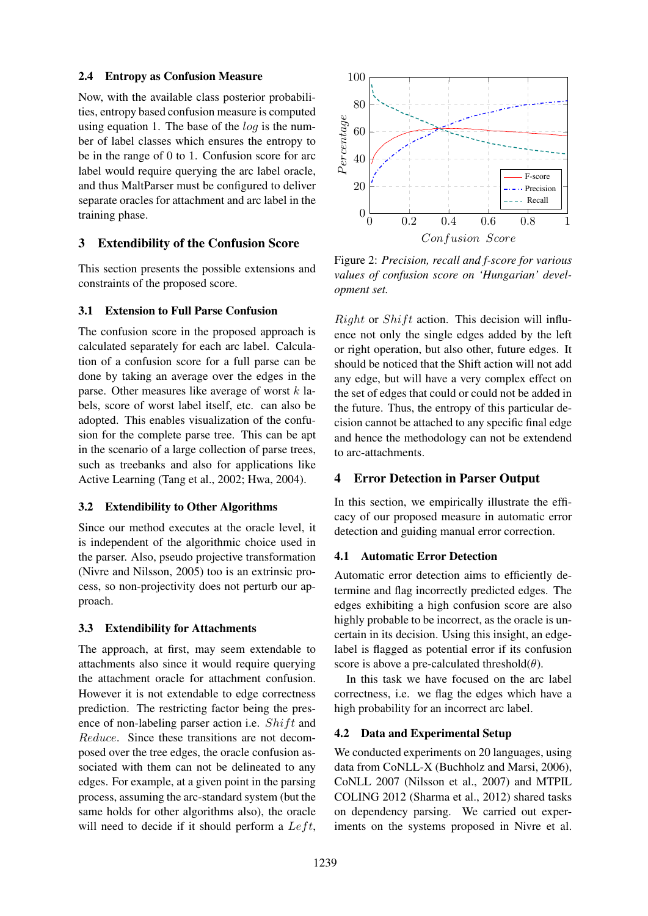## 2.4 Entropy as Confusion Measure

Now, with the available class posterior probabilities, entropy based confusion measure is computed using equation 1. The base of the  $log$  is the number of label classes which ensures the entropy to be in the range of 0 to 1. Confusion score for arc label would require querying the arc label oracle, and thus MaltParser must be configured to deliver separate oracles for attachment and arc label in the training phase.

# 3 Extendibility of the Confusion Score

This section presents the possible extensions and constraints of the proposed score.

## 3.1 Extension to Full Parse Confusion

The confusion score in the proposed approach is calculated separately for each arc label. Calculation of a confusion score for a full parse can be done by taking an average over the edges in the parse. Other measures like average of worst  $k$  labels, score of worst label itself, etc. can also be adopted. This enables visualization of the confusion for the complete parse tree. This can be apt in the scenario of a large collection of parse trees, such as treebanks and also for applications like Active Learning (Tang et al., 2002; Hwa, 2004).

## 3.2 Extendibility to Other Algorithms

Since our method executes at the oracle level, it is independent of the algorithmic choice used in the parser. Also, pseudo projective transformation (Nivre and Nilsson, 2005) too is an extrinsic process, so non-projectivity does not perturb our approach.

## 3.3 Extendibility for Attachments

The approach, at first, may seem extendable to attachments also since it would require querying the attachment oracle for attachment confusion. However it is not extendable to edge correctness prediction. The restricting factor being the presence of non-labeling parser action i.e.  $Shift$  and Reduce. Since these transitions are not decomposed over the tree edges, the oracle confusion associated with them can not be delineated to any edges. For example, at a given point in the parsing process, assuming the arc-standard system (but the same holds for other algorithms also), the oracle will need to decide if it should perform a  $Left$ ,



Figure 2: *Precision, recall and f-score for various values of confusion score on 'Hungarian' development set.*

*Right* or *Shift* action. This decision will influence not only the single edges added by the left or right operation, but also other, future edges. It should be noticed that the Shift action will not add any edge, but will have a very complex effect on the set of edges that could or could not be added in the future. Thus, the entropy of this particular decision cannot be attached to any specific final edge and hence the methodology can not be extendend to arc-attachments.

## 4 Error Detection in Parser Output

In this section, we empirically illustrate the efficacy of our proposed measure in automatic error detection and guiding manual error correction.

## 4.1 Automatic Error Detection

Automatic error detection aims to efficiently determine and flag incorrectly predicted edges. The edges exhibiting a high confusion score are also highly probable to be incorrect, as the oracle is uncertain in its decision. Using this insight, an edgelabel is flagged as potential error if its confusion score is above a pre-calculated threshold $(\theta)$ .

In this task we have focused on the arc label correctness, i.e. we flag the edges which have a high probability for an incorrect arc label.

## 4.2 Data and Experimental Setup

We conducted experiments on 20 languages, using data from CoNLL-X (Buchholz and Marsi, 2006), CoNLL 2007 (Nilsson et al., 2007) and MTPIL COLING 2012 (Sharma et al., 2012) shared tasks on dependency parsing. We carried out experiments on the systems proposed in Nivre et al.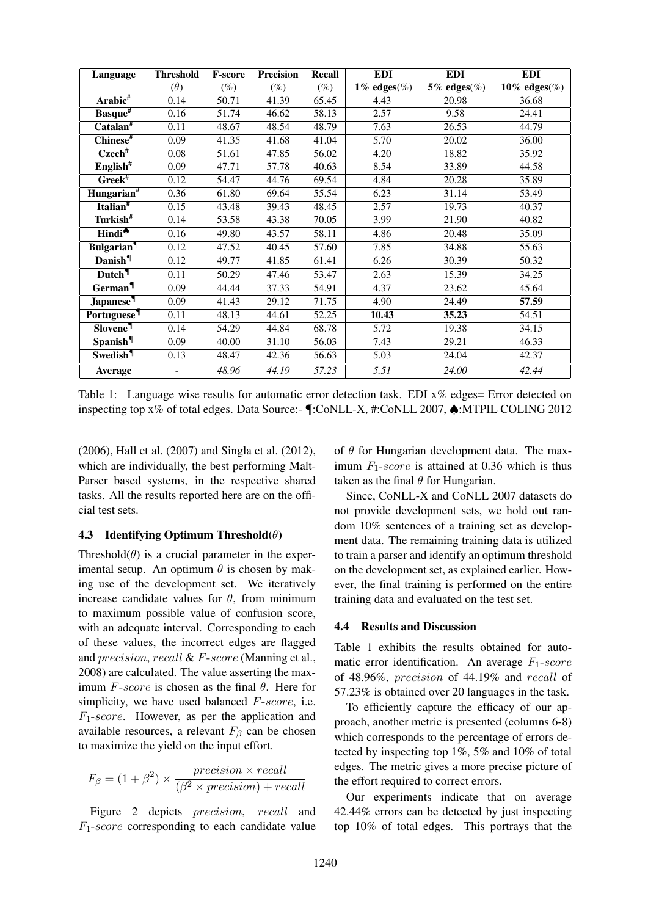| Language                    | <b>Threshold</b> | <b>F-score</b> | <b>Precision</b> | Recall | <b>EDI</b>      | <b>EDI</b>      | <b>EDI</b>   |
|-----------------------------|------------------|----------------|------------------|--------|-----------------|-----------------|--------------|
|                             | $(\theta)$       | $(\%)$         | $(\%)$           | $(\%)$ | 1% edges $(\%)$ | 5% edges $(\%)$ | 10% edges(%) |
| $Arabic$ #                  | 0.14             | 50.71          | 41.39            | 65.45  | 4.43            | 20.98           | 36.68        |
| Basque#                     | 0.16             | 51.74          | 46.62            | 58.13  | 2.57            | 9.58            | 24.41        |
| $\text{Catalan}^{\#}$       | 0.11             | 48.67          | 48.54            | 48.79  | 7.63            | 26.53           | 44.79        |
| Chinese <sup>#</sup>        | 0.09             | 41.35          | 41.68            | 41.04  | 5.70            | 20.02           | 36.00        |
| $C$ zech $#$                | 0.08             | 51.61          | 47.85            | 56.02  | 4.20            | 18.82           | 35.92        |
| $English*$                  | 0.09             | 47.71          | 57.78            | 40.63  | 8.54            | 33.89           | 44.58        |
| $Greek^{\#}$                | 0.12             | 54.47          | 44.76            | 69.54  | 4.84            | 20.28           | 35.89        |
| Hungarian <sup>#</sup>      | 0.36             | 61.80          | 69.64            | 55.54  | 6.23            | 31.14           | 53.49        |
| Italian <sup>#</sup>        | 0.15             | 43.48          | 39.43            | 48.45  | 2.57            | 19.73           | 40.37        |
| Turkish <sup>#</sup>        | 0.14             | 53.58          | 43.38            | 70.05  | 3.99            | 21.90           | 40.82        |
| Hindi*                      | 0.16             | 49.80          | 43.57            | 58.11  | 4.86            | 20.48           | 35.09        |
| <b>Bulgarian</b>            | 0.12             | 47.52          | 40.45            | 57.60  | 7.85            | 34.88           | 55.63        |
| Danish <sup>¶</sup>         | 0.12             | 49.77          | 41.85            | 61.41  | 6.26            | 30.39           | 50.32        |
| Dutch <sup>¶</sup>          | 0.11             | 50.29          | 47.46            | 53.47  | 2.63            | 15.39           | 34.25        |
| German                      | 0.09             | 44.44          | 37.33            | 54.91  | 4.37            | 23.62           | 45.64        |
| <b>Japanese</b>             | 0.09             | 41.43          | 29.12            | 71.75  | 4.90            | 24.49           | 57.59        |
| Portuguese                  | 0.11             | 48.13          | 44.61            | 52.25  | 10.43           | 35.23           | 54.51        |
| <b>Slovene</b>              | 0.14             | 54.29          | 44.84            | 68.78  | 5.72            | 19.38           | 34.15        |
| Spanish <sup>¶</sup>        | 0.09             | 40.00          | 31.10            | 56.03  | 7.43            | 29.21           | 46.33        |
| <b>Swedish</b> <sup>¶</sup> | 0.13             | 48.47          | 42.36            | 56.63  | 5.03            | 24.04           | 42.37        |
| Average                     |                  | 48.96          | 44.19            | 57.23  | 5.51            | 24.00           | 42.44        |

Table 1: Language wise results for automatic error detection task. EDI x% edges= Error detected on inspecting top x% of total edges. Data Source:- ¶:CoNLL-X, #:CoNLL 2007, ♠:MTPIL COLING 2012

(2006), Hall et al. (2007) and Singla et al. (2012), which are individually, the best performing Malt-Parser based systems, in the respective shared tasks. All the results reported here are on the official test sets.

## 4.3 Identifying Optimum Threshold $(\theta)$

Threshold( $\theta$ ) is a crucial parameter in the experimental setup. An optimum  $\theta$  is chosen by making use of the development set. We iteratively increase candidate values for  $\theta$ , from minimum to maximum possible value of confusion score, with an adequate interval. Corresponding to each of these values, the incorrect edges are flagged and precision, recall & F-score (Manning et al., 2008) are calculated. The value asserting the maximum  $F-score$  is chosen as the final  $\theta$ . Here for simplicity, we have used balanced  $F\text{-}score$ , i.e.  $F_1$ -score. However, as per the application and available resources, a relevant  $F_\beta$  can be chosen to maximize the yield on the input effort.

$$
F_{\beta} = (1 + \beta^2) \times \frac{precision \times recall}{(\beta^2 \times precision) + recall}
$$

Figure 2 depicts *precision*, *recall* and  $F_1$ -score corresponding to each candidate value

of  $\theta$  for Hungarian development data. The maximum  $F_1$ -score is attained at 0.36 which is thus taken as the final  $\theta$  for Hungarian.

Since, CoNLL-X and CoNLL 2007 datasets do not provide development sets, we hold out random 10% sentences of a training set as development data. The remaining training data is utilized to train a parser and identify an optimum threshold on the development set, as explained earlier. However, the final training is performed on the entire training data and evaluated on the test set.

#### 4.4 Results and Discussion

Table 1 exhibits the results obtained for automatic error identification. An average  $F_1$ -score of 48.96%, precision of 44.19% and recall of 57.23% is obtained over 20 languages in the task.

To efficiently capture the efficacy of our approach, another metric is presented (columns 6-8) which corresponds to the percentage of errors detected by inspecting top 1%, 5% and 10% of total edges. The metric gives a more precise picture of the effort required to correct errors.

Our experiments indicate that on average 42.44% errors can be detected by just inspecting top 10% of total edges. This portrays that the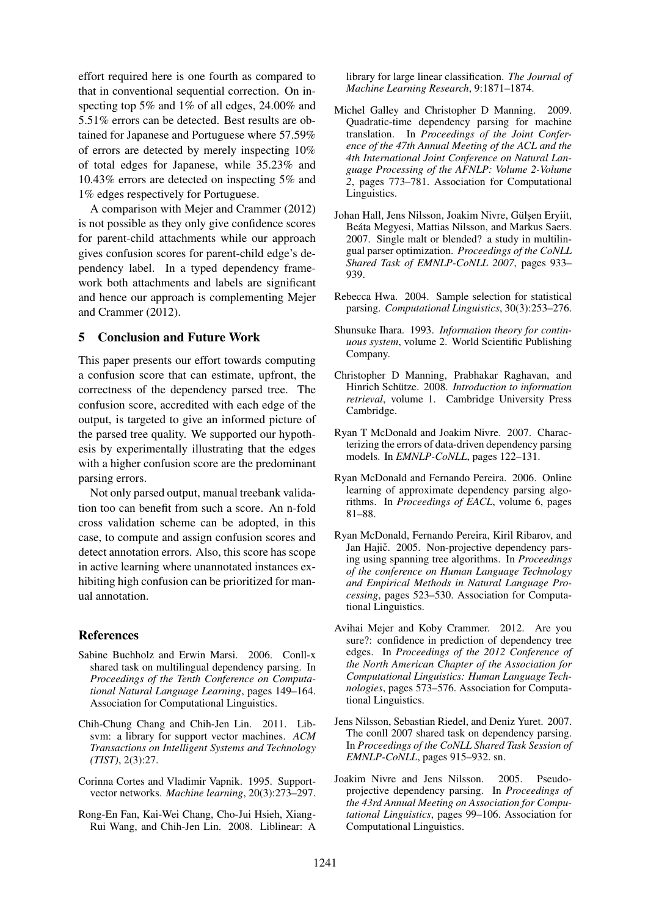effort required here is one fourth as compared to that in conventional sequential correction. On inspecting top 5% and 1% of all edges, 24.00% and 5.51% errors can be detected. Best results are obtained for Japanese and Portuguese where 57.59% of errors are detected by merely inspecting 10% of total edges for Japanese, while 35.23% and 10.43% errors are detected on inspecting 5% and 1% edges respectively for Portuguese.

A comparison with Mejer and Crammer (2012) is not possible as they only give confidence scores for parent-child attachments while our approach gives confusion scores for parent-child edge's dependency label. In a typed dependency framework both attachments and labels are significant and hence our approach is complementing Mejer and Crammer (2012).

# 5 Conclusion and Future Work

This paper presents our effort towards computing a confusion score that can estimate, upfront, the correctness of the dependency parsed tree. The confusion score, accredited with each edge of the output, is targeted to give an informed picture of the parsed tree quality. We supported our hypothesis by experimentally illustrating that the edges with a higher confusion score are the predominant parsing errors.

Not only parsed output, manual treebank validation too can benefit from such a score. An n-fold cross validation scheme can be adopted, in this case, to compute and assign confusion scores and detect annotation errors. Also, this score has scope in active learning where unannotated instances exhibiting high confusion can be prioritized for manual annotation.

# References

- Sabine Buchholz and Erwin Marsi. 2006. Conll-x shared task on multilingual dependency parsing. In *Proceedings of the Tenth Conference on Computational Natural Language Learning*, pages 149–164. Association for Computational Linguistics.
- Chih-Chung Chang and Chih-Jen Lin. 2011. Libsvm: a library for support vector machines. *ACM Transactions on Intelligent Systems and Technology (TIST)*, 2(3):27.
- Corinna Cortes and Vladimir Vapnik. 1995. Supportvector networks. *Machine learning*, 20(3):273–297.
- Rong-En Fan, Kai-Wei Chang, Cho-Jui Hsieh, Xiang-Rui Wang, and Chih-Jen Lin. 2008. Liblinear: A

library for large linear classification. *The Journal of Machine Learning Research*, 9:1871–1874.

- Michel Galley and Christopher D Manning. 2009. Quadratic-time dependency parsing for machine translation. In *Proceedings of the Joint Conference of the 47th Annual Meeting of the ACL and the 4th International Joint Conference on Natural Language Processing of the AFNLP: Volume 2-Volume 2*, pages 773–781. Association for Computational Linguistics.
- Johan Hall, Jens Nilsson, Joakim Nivre, Gülşen Eryiit, Beáta Megyesi, Mattias Nilsson, and Markus Saers. 2007. Single malt or blended? a study in multilingual parser optimization. *Proceedings of the CoNLL Shared Task of EMNLP-CoNLL 2007*, pages 933– 939.
- Rebecca Hwa. 2004. Sample selection for statistical parsing. *Computational Linguistics*, 30(3):253–276.
- Shunsuke Ihara. 1993. *Information theory for continuous system*, volume 2. World Scientific Publishing Company.
- Christopher D Manning, Prabhakar Raghavan, and Hinrich Schütze. 2008. Introduction to information *retrieval*, volume 1. Cambridge University Press Cambridge.
- Ryan T McDonald and Joakim Nivre. 2007. Characterizing the errors of data-driven dependency parsing models. In *EMNLP-CoNLL*, pages 122–131.
- Ryan McDonald and Fernando Pereira. 2006. Online learning of approximate dependency parsing algorithms. In *Proceedings of EACL*, volume 6, pages 81–88.
- Ryan McDonald, Fernando Pereira, Kiril Ribarov, and Jan Hajič. 2005. Non-projective dependency parsing using spanning tree algorithms. In *Proceedings of the conference on Human Language Technology and Empirical Methods in Natural Language Processing*, pages 523–530. Association for Computational Linguistics.
- Avihai Mejer and Koby Crammer. 2012. Are you sure?: confidence in prediction of dependency tree edges. In *Proceedings of the 2012 Conference of the North American Chapter of the Association for Computational Linguistics: Human Language Technologies*, pages 573–576. Association for Computational Linguistics.
- Jens Nilsson, Sebastian Riedel, and Deniz Yuret. 2007. The conll 2007 shared task on dependency parsing. In *Proceedings of the CoNLL Shared Task Session of EMNLP-CoNLL*, pages 915–932. sn.
- Joakim Nivre and Jens Nilsson. 2005. Pseudoprojective dependency parsing. In *Proceedings of the 43rd Annual Meeting on Association for Computational Linguistics*, pages 99–106. Association for Computational Linguistics.